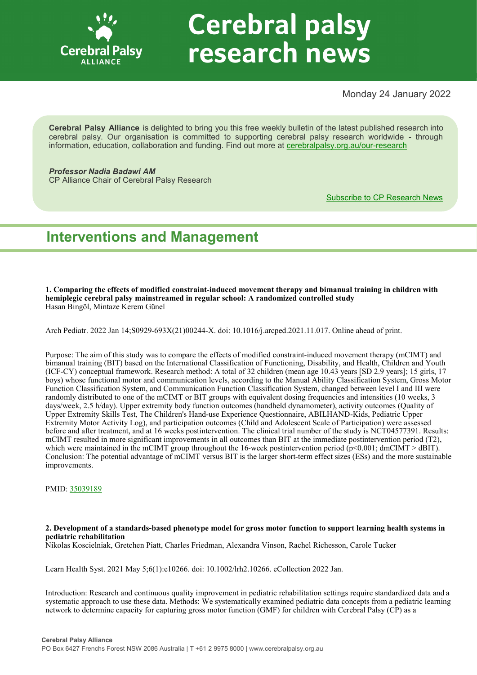

# **Cerebral palsy** research news

Monday 24 January 2022

**Cerebral Palsy Alliance** is delighted to bring you this free weekly bulletin of the latest published research into cerebral palsy. Our organisation is committed to supporting cerebral palsy research worldwide - through information, education, collaboration and funding. Find out more at [cerebralpalsy.org.au/our](https://cerebralpalsy.org.au/our-research/)-research

*Professor Nadia Badawi AM* CP Alliance Chair of Cerebral Palsy Research

[Subscribe to CP Research News](https://cerebralpalsy.org.au/our-research/get-involved-research/cp-research-newsletters/)

## **Interventions and Management**

**1. Comparing the effects of modified constraint-induced movement therapy and bimanual training in children with hemiplegic cerebral palsy mainstreamed in regular school: A randomized controlled study** Hasan Bingöl, Mintaze Kerem Günel

Arch Pediatr. 2022 Jan 14;S0929-693X(21)00244-X. doi: 10.1016/j.arcped.2021.11.017. Online ahead of print.

Purpose: The aim of this study was to compare the effects of modified constraint-induced movement therapy (mCIMT) and bimanual training (BIT) based on the International Classification of Functioning, Disability, and Health, Children and Youth (ICF-CY) conceptual framework. Research method: A total of 32 children (mean age 10.43 years [SD 2.9 years]; 15 girls, 17 boys) whose functional motor and communication levels, according to the Manual Ability Classification System, Gross Motor Function Classification System, and Communication Function Classification System, changed between level I and III were randomly distributed to one of the mCIMT or BIT groups with equivalent dosing frequencies and intensities (10 weeks, 3 days/week, 2.5 h/day). Upper extremity body function outcomes (handheld dynamometer), activity outcomes (Quality of Upper Extremity Skills Test, The Children's Hand-use Experience Questionnaire, ABILHAND-Kids, Pediatric Upper Extremity Motor Activity Log), and participation outcomes (Child and Adolescent Scale of Participation) were assessed before and after treatment, and at 16 weeks postintervention. The clinical trial number of the study is NCT04577391. Results: mCIMT resulted in more significant improvements in all outcomes than BIT at the immediate postintervention period (T2), which were maintained in the mCIMT group throughout the 16-week postintervention period ( $p<0.001$ ; dmCIMT > dBIT). Conclusion: The potential advantage of mCIMT versus BIT is the larger short-term effect sizes (ESs) and the more sustainable improvements.

PMID: [35039189](http://www.ncbi.nlm.nih.gov/pubmed/35039189)

## **2. Development of a standards-based phenotype model for gross motor function to support learning health systems in pediatric rehabilitation**

Nikolas Koscielniak, Gretchen Piatt, Charles Friedman, Alexandra Vinson, Rachel Richesson, Carole Tucker

Learn Health Syst. 2021 May 5;6(1):e10266. doi: 10.1002/lrh2.10266. eCollection 2022 Jan.

Introduction: Research and continuous quality improvement in pediatric rehabilitation settings require standardized data and a systematic approach to use these data. Methods: We systematically examined pediatric data concepts from a pediatric learning network to determine capacity for capturing gross motor function (GMF) for children with Cerebral Palsy (CP) as a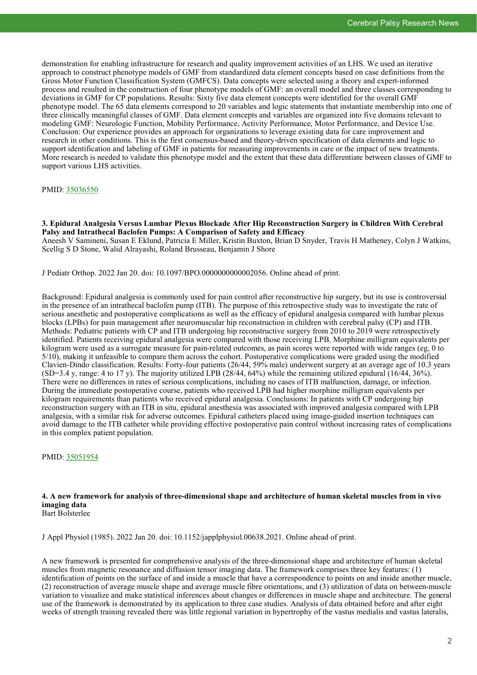demonstration for enabling infrastructure for research and quality improvement activities of an LHS. We used an iterative approach to construct phenotype models of GMF from standardized data element concepts based on case definitions from the Gross Motor Function Classification System (GMFCS). Data concepts were selected using a theory and expert-informed process and resulted in the construction of four phenotype models of GMF: an overall model and three classes corresponding to deviations in GMF for CP populations. Results: Sixty five data element concepts were identified for the overall GMF phenotype model. The 65 data elements correspond to 20 variables and logic statements that instantiate membership into one of three clinically meaningful classes of GMF. Data element concepts and variables are organized into five domains relevant to modeling GMF: Neurologic Function, Mobility Performance, Activity Performance, Motor Performance, and Device Use. Conclusion: Our experience provides an approach for organizations to leverage existing data for care improvement and research in other conditions. This is the first consensus-based and theory-driven specification of data elements and logic to support identification and labeling of GMF in patients for measuring improvements in care or the impact of new treatments. More research is needed to validate this phenotype model and the extent that these data differentiate between classes of GMF to support various LHS activities.

## PMID: [35036550](http://www.ncbi.nlm.nih.gov/pubmed/35036550)

**3. Epidural Analgesia Versus Lumbar Plexus Blockade After Hip Reconstruction Surgery in Children With Cerebral Palsy and Intrathecal Baclofen Pumps: A Comparison of Safety and Efficacy**

Aneesh V Samineni, Susan E Eklund, Patricia E Miller, Kristin Buxton, Brian D Snyder, Travis H Matheney, Colyn J Watkins, Scellig S D Stone, Walid Alrayashi, Roland Brusseau, Benjamin J Shore

J Pediatr Orthop. 2022 Jan 20. doi: 10.1097/BPO.0000000000002056. Online ahead of print.

Background: Epidural analgesia is commonly used for pain control after reconstructive hip surgery, but its use is controversial in the presence of an intrathecal baclofen pump (ITB). The purpose of this retrospective study was to investigate the rate of serious anesthetic and postoperative complications as well as the efficacy of epidural analgesia compared with lumbar plexus blocks (LPBs) for pain management after neuromuscular hip reconstruction in children with cerebral palsy (CP) and ITB. Methods: Pediatric patients with CP and ITB undergoing hip reconstructive surgery from 2010 to 2019 were retrospectively identified. Patients receiving epidural analgesia were compared with those receiving LPB. Morphine milligram equivalents per kilogram were used as a surrogate measure for pain-related outcomes, as pain scores were reported with wide ranges (eg, 0 to 5/10), making it unfeasible to compare them across the cohort. Postoperative complications were graded using the modified Clavien-Dindo classification. Results: Forty-four patients (26/44, 59% male) underwent surgery at an average age of 10.3 years (SD=3.4 y, range: 4 to 17 y). The majority utilized LPB (28/44, 64%) while the remaining utilized epidural (16/44, 36%). There were no differences in rates of serious complications, including no cases of ITB malfunction, damage, or infection. During the immediate postoperative course, patients who received LPB had higher morphine milligram equivalents per kilogram requirements than patients who received epidural analgesia. Conclusions: In patients with CP undergoing hip reconstruction surgery with an ITB in situ, epidural anesthesia was associated with improved analgesia compared with LPB analgesia, with a similar risk for adverse outcomes. Epidural catheters placed using image-guided insertion techniques can avoid damage to the ITB catheter while providing effective postoperative pain control without increasing rates of complications in this complex patient population.

PMID: [35051954](http://www.ncbi.nlm.nih.gov/pubmed/35051954)

### **4. A new framework for analysis of three-dimensional shape and architecture of human skeletal muscles from in vivo imaging data** Bart Bolsterlee

J Appl Physiol (1985). 2022 Jan 20. doi: 10.1152/japplphysiol.00638.2021. Online ahead of print.

A new framework is presented for comprehensive analysis of the three-dimensional shape and architecture of human skeletal muscles from magnetic resonance and diffusion tensor imaging data. The framework comprises three key features: (1) identification of points on the surface of and inside a muscle that have a correspondence to points on and inside another muscle, (2) reconstruction of average muscle shape and average muscle fibre orientations, and (3) utilization of data on between-muscle variation to visualize and make statistical inferences about changes or differences in muscle shape and architecture. The general use of the framework is demonstrated by its application to three case studies. Analysis of data obtained before and after eight weeks of strength training revealed there was little regional variation in hypertrophy of the vastus medialis and vastus lateralis,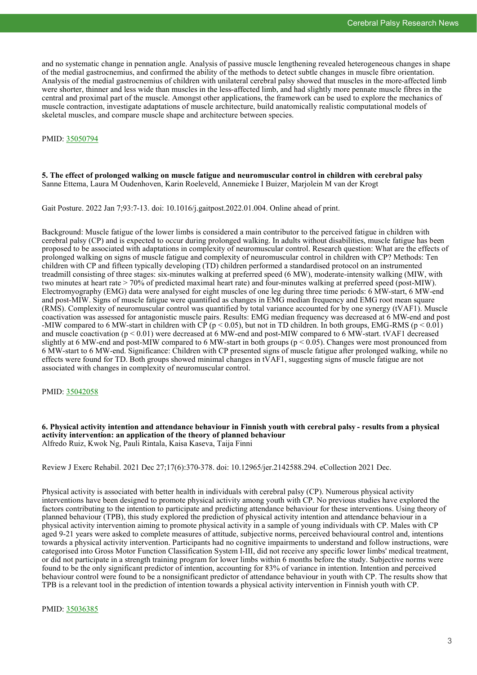and no systematic change in pennation angle. Analysis of passive muscle lengthening revealed heterogeneous changes in shape of the medial gastrocnemius, and confirmed the ability of the methods to detect subtle changes in muscle fibre orientation. Analysis of the medial gastrocnemius of children with unilateral cerebral palsy showed that muscles in the more-affected limb were shorter, thinner and less wide than muscles in the less-affected limb, and had slightly more pennate muscle fibres in the central and proximal part of the muscle. Amongst other applications, the framework can be used to explore the mechanics of muscle contraction, investigate adaptations of muscle architecture, build anatomically realistic computational models of skeletal muscles, and compare muscle shape and architecture between species.

## PMID: [35050794](http://www.ncbi.nlm.nih.gov/pubmed/35050794)

## **5. The effect of prolonged walking on muscle fatigue and neuromuscular control in children with cerebral palsy** Sanne Ettema, Laura M Oudenhoven, Karin Roeleveld, Annemieke I Buizer, Marjolein M van der Krogt

Gait Posture. 2022 Jan 7;93:7-13. doi: 10.1016/j.gaitpost.2022.01.004. Online ahead of print.

Background: Muscle fatigue of the lower limbs is considered a main contributor to the perceived fatigue in children with cerebral palsy (CP) and is expected to occur during prolonged walking. In adults without disabilities, muscle fatigue has been proposed to be associated with adaptations in complexity of neuromuscular control. Research question: What are the effects of prolonged walking on signs of muscle fatigue and complexity of neuromuscular control in children with CP? Methods: Ten children with CP and fifteen typically developing (TD) children performed a standardised protocol on an instrumented treadmill consisting of three stages: six-minutes walking at preferred speed (6 MW), moderate-intensity walking (MIW, with two minutes at heart rate > 70% of predicted maximal heart rate) and four-minutes walking at preferred speed (post-MIW). Electromyography (EMG) data were analysed for eight muscles of one leg during three time periods: 6 MW-start, 6 MW-end and post-MIW. Signs of muscle fatigue were quantified as changes in EMG median frequency and EMG root mean square (RMS). Complexity of neuromuscular control was quantified by total variance accounted for by one synergy (tVAF1). Muscle coactivation was assessed for antagonistic muscle pairs. Results: EMG median frequency was decreased at 6 MW-end and post -MIW compared to 6 MW-start in children with CP ( $p < 0.05$ ), but not in TD children. In both groups, EMG-RMS ( $p < 0.01$ ) and muscle coactivation (p < 0.01) were decreased at 6 MW-end and post-MIW compared to 6 MW-start. tVAF1 decreased slightly at 6 MW-end and post-MIW compared to 6 MW-start in both groups (p < 0.05). Changes were most pronounced from 6 MW-start to 6 MW-end. Significance: Children with CP presented signs of muscle fatigue after prolonged walking, while no effects were found for TD. Both groups showed minimal changes in tVAF1, suggesting signs of muscle fatigue are not associated with changes in complexity of neuromuscular control.

## PMID: [35042058](http://www.ncbi.nlm.nih.gov/pubmed/35042058)

**6. Physical activity intention and attendance behaviour in Finnish youth with cerebral palsy - results from a physical activity intervention: an application of the theory of planned behaviour** Alfredo Ruiz, Kwok Ng, Pauli Rintala, Kaisa Kaseva, Taija Finni

Review J Exerc Rehabil. 2021 Dec 27;17(6):370-378. doi: 10.12965/jer.2142588.294. eCollection 2021 Dec.

Physical activity is associated with better health in individuals with cerebral palsy (CP). Numerous physical activity interventions have been designed to promote physical activity among youth with CP. No previous studies have explored the factors contributing to the intention to participate and predicting attendance behaviour for these interventions. Using theory of planned behaviour (TPB), this study explored the prediction of physical activity intention and attendance behaviour in a physical activity intervention aiming to promote physical activity in a sample of young individuals with CP. Males with CP aged 9-21 years were asked to complete measures of attitude, subjective norms, perceived behavioural control and, intentions towards a physical activity intervention. Participants had no cognitive impairments to understand and follow instructions, were categorised into Gross Motor Function Classification System I-III, did not receive any specific lower limbs' medical treatment, or did not participate in a strength training program for lower limbs within 6 months before the study. Subjective norms were found to be the only significant predictor of intention, accounting for 83% of variance in intention. Intention and perceived behaviour control were found to be a nonsignificant predictor of attendance behaviour in youth with CP. The results show that TPB is a relevant tool in the prediction of intention towards a physical activity intervention in Finnish youth with CP.

PMID: [35036385](http://www.ncbi.nlm.nih.gov/pubmed/35036385)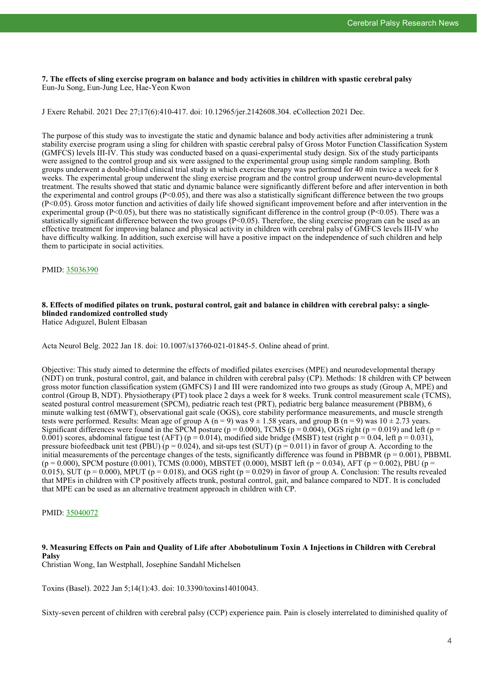**7. The effects of sling exercise program on balance and body activities in children with spastic cerebral palsy** Eun-Ju Song, Eun-Jung Lee, Hae-Yeon Kwon

J Exerc Rehabil. 2021 Dec 27;17(6):410-417. doi: 10.12965/jer.2142608.304. eCollection 2021 Dec.

The purpose of this study was to investigate the static and dynamic balance and body activities after administering a trunk stability exercise program using a sling for children with spastic cerebral palsy of Gross Motor Function Classification System (GMFCS) levels III-IV. This study was conducted based on a quasi-experimental study design. Six of the study participants were assigned to the control group and six were assigned to the experimental group using simple random sampling. Both groups underwent a double-blind clinical trial study in which exercise therapy was performed for 40 min twice a week for 8 weeks. The experimental group underwent the sling exercise program and the control group underwent neuro-developmental treatment. The results showed that static and dynamic balance were significantly different before and after intervention in both the experimental and control groups  $(P<0.05)$ , and there was also a statistically significant difference between the two groups (P<0.05). Gross motor function and activities of daily life showed significant improvement before and after intervention in the experimental group (P<0.05), but there was no statistically significant difference in the control group (P<0.05). There was a statistically significant difference between the two groups  $(P< 0.05)$ . Therefore, the sling exercise program can be used as an effective treatment for improving balance and physical activity in children with cerebral palsy of GMFCS levels III-IV who have difficulty walking. In addition, such exercise will have a positive impact on the independence of such children and help them to participate in social activities.

PMID: [35036390](http://www.ncbi.nlm.nih.gov/pubmed/35036390)

## **8. Effects of modified pilates on trunk, postural control, gait and balance in children with cerebral palsy: a singleblinded randomized controlled study**

Hatice Adıguzel, Bulent Elbasan

Acta Neurol Belg. 2022 Jan 18. doi: 10.1007/s13760-021-01845-5. Online ahead of print.

Objective: This study aimed to determine the effects of modified pilates exercises (MPE) and neurodevelopmental therapy (NDT) on trunk, postural control, gait, and balance in children with cerebral palsy (CP). Methods: 18 children with CP between gross motor function classification system (GMFCS) I and III were randomized into two groups as study (Group A, MPE) and control (Group B, NDT). Physiotherapy (PT) took place 2 days a week for 8 weeks. Trunk control measurement scale (TCMS), seated postural control measurement (SPCM), pediatric reach test (PRT), pediatric berg balance measurement (PBBM), 6 minute walking test (6MWT), observational gait scale (OGS), core stability performance measurements, and muscle strength tests were performed. Results: Mean age of group A (n = 9) was  $9 \pm 1.58$  years, and group B (n = 9) was  $10 \pm 2.73$  years. Significant differences were found in the SPCM posture ( $p = 0.000$ ), TCMS ( $p = 0.004$ ), OGS right ( $p = 0.019$ ) and left ( $p = 0.019$ ) 0.001) scores, abdominal fatigue test (AFT) ( $p = 0.014$ ), modified side bridge (MSBT) test (right  $p = 0.04$ , left  $p = 0.031$ ), pressure biofeedback unit test (PBU) ( $p = 0.024$ ), and sit-ups test (SUT) ( $p = 0.011$ ) in favor of group A. According to the initial measurements of the percentage changes of the tests, significantly difference was found in PBBMR ( $p = 0.001$ ), PBBML  $(p = 0.000)$ , SPCM posture (0.001), TCMS (0.000), MBSTET (0.000), MSBT left (p = 0.034), AFT (p = 0.002), PBU (p = 0.015), SUT (p = 0.000), MPUT (p = 0.018), and OGS right (p = 0.029) in favor of group A. Conclusion: The results revealed that MPEs in children with CP positively affects trunk, postural control, gait, and balance compared to NDT. It is concluded that MPE can be used as an alternative treatment approach in children with CP.

## PMID: [35040072](http://www.ncbi.nlm.nih.gov/pubmed/35040072)

## **9. Measuring Effects on Pain and Quality of Life after Abobotulinum Toxin A Injections in Children with Cerebral Palsy**

Christian Wong, Ian Westphall, Josephine Sandahl Michelsen

Toxins (Basel). 2022 Jan 5;14(1):43. doi: 10.3390/toxins14010043.

Sixty-seven percent of children with cerebral palsy (CCP) experience pain. Pain is closely interrelated to diminished quality of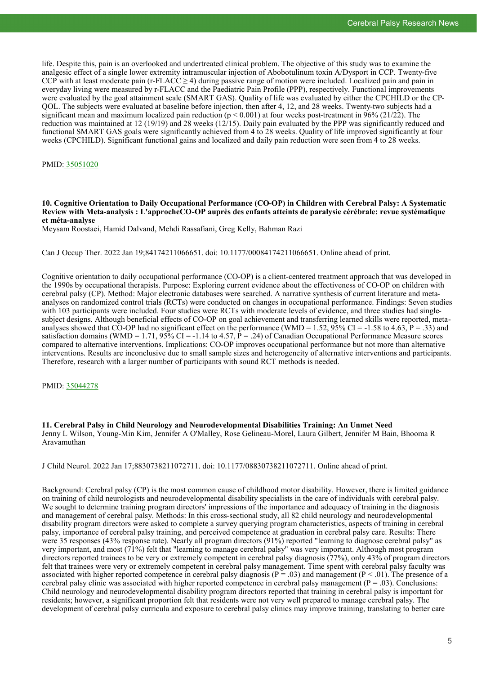life. Despite this, pain is an overlooked and undertreated clinical problem. The objective of this study was to examine the analgesic effect of a single lower extremity intramuscular injection of Abobotulinum toxin A/Dysport in CCP. Twenty-five CCP with at least moderate pain (r-FLACC  $\geq$  4) during passive range of motion were included. Localized pain and pain in everyday living were measured by r-FLACC and the Paediatric Pain Profile (PPP), respectively. Functional improvements were evaluated by the goal attainment scale (SMART GAS). Quality of life was evaluated by either the CPCHILD or the CP-QOL. The subjects were evaluated at baseline before injection, then after 4, 12, and 28 weeks. Twenty-two subjects had a significant mean and maximum localized pain reduction ( $p < 0.001$ ) at four weeks post-treatment in 96% (21/22). The reduction was maintained at 12 (19/19) and 28 weeks (12/15). Daily pain evaluated by the PPP was significantly reduced and functional SMART GAS goals were significantly achieved from 4 to 28 weeks. Quality of life improved significantly at four weeks (CPCHILD). Significant functional gains and localized and daily pain reduction were seen from 4 to 28 weeks.

PMID: [35051020](http://www.ncbi.nlm.nih.gov/pubmed/35051020)

## **10. Cognitive Orientation to Daily Occupational Performance (CO-OP) in Children with Cerebral Palsy: A Systematic Review with Meta-analysis : L'approcheCO-OP auprès des enfants atteints de paralysie cérébrale: revue systématique et méta-analyse**

Meysam Roostaei, Hamid Dalvand, Mehdi Rassafiani, Greg Kelly, Bahman Razi

Can J Occup Ther. 2022 Jan 19;84174211066651. doi: 10.1177/00084174211066651. Online ahead of print.

Cognitive orientation to daily occupational performance (CO-OP) is a client-centered treatment approach that was developed in the 1990s by occupational therapists. Purpose: Exploring current evidence about the effectiveness of CO-OP on children with cerebral palsy (CP). Method: Major electronic databases were searched. A narrative synthesis of current literature and metaanalyses on randomized control trials (RCTs) were conducted on changes in occupational performance. Findings: Seven studies with 103 participants were included. Four studies were RCTs with moderate levels of evidence, and three studies had singlesubject designs. Although beneficial effects of CO-OP on goal achievement and transferring learned skills were reported, metaanalyses showed that CO-OP had no significant effect on the performance (WMD = 1.52,  $95\%$  CI = -1.58 to 4.63, P = .33) and satisfaction domains (WMD = 1.71, 95% CI = -1.14 to 4.57,  $\hat{P}$  = .24) of Canadian Occupational Performance Measure scores compared to alternative interventions. Implications: CO-OP improves occupational performance but not more than alternative interventions. Results are inconclusive due to small sample sizes and heterogeneity of alternative interventions and participants. Therefore, research with a larger number of participants with sound RCT methods is needed.

PMID: [35044278](http://www.ncbi.nlm.nih.gov/pubmed/35044278)

**11. Cerebral Palsy in Child Neurology and Neurodevelopmental Disabilities Training: An Unmet Need** Jenny L Wilson, Young-Min Kim, Jennifer A O'Malley, Rose Gelineau-Morel, Laura Gilbert, Jennifer M Bain, Bhooma R Aravamuthan

J Child Neurol. 2022 Jan 17;8830738211072711. doi: 10.1177/08830738211072711. Online ahead of print.

Background: Cerebral palsy (CP) is the most common cause of childhood motor disability. However, there is limited guidance on training of child neurologists and neurodevelopmental disability specialists in the care of individuals with cerebral palsy. We sought to determine training program directors' impressions of the importance and adequacy of training in the diagnosis and management of cerebral palsy. Methods: In this cross-sectional study, all 82 child neurology and neurodevelopmental disability program directors were asked to complete a survey querying program characteristics, aspects of training in cerebral palsy, importance of cerebral palsy training, and perceived competence at graduation in cerebral palsy care. Results: There were 35 responses (43% response rate). Nearly all program directors (91%) reported "learning to diagnose cerebral palsy" as very important, and most (71%) felt that "learning to manage cerebral palsy" was very important. Although most program directors reported trainees to be very or extremely competent in cerebral palsy diagnosis (77%), only 43% of program directors felt that trainees were very or extremely competent in cerebral palsy management. Time spent with cerebral palsy faculty was associated with higher reported competence in cerebral palsy diagnosis ( $P = .03$ ) and management ( $P < .01$ ). The presence of a cerebral palsy clinic was associated with higher reported competence in cerebral palsy management ( $P = .03$ ). Conclusions: Child neurology and neurodevelopmental disability program directors reported that training in cerebral palsy is important for residents; however, a significant proportion felt that residents were not very well prepared to manage cerebral palsy. The development of cerebral palsy curricula and exposure to cerebral palsy clinics may improve training, translating to better care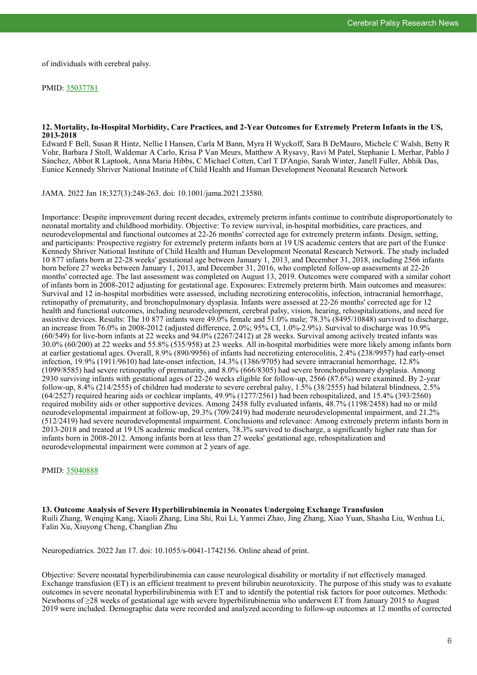of individuals with cerebral palsy.

## PMID: [35037781](http://www.ncbi.nlm.nih.gov/pubmed/35037781)

## **12. Mortality, In-Hospital Morbidity, Care Practices, and 2-Year Outcomes for Extremely Preterm Infants in the US, 2013-2018**

Edward F Bell, Susan R Hintz, Nellie I Hansen, Carla M Bann, Myra H Wyckoff, Sara B DeMauro, Michele C Walsh, Betty R Vohr, Barbara J Stoll, Waldemar A Carlo, Krisa P Van Meurs, Matthew A Rysavy, Ravi M Patel, Stephanie L Merhar, Pablo J Sánchez, Abbot R Laptook, Anna Maria Hibbs, C Michael Cotten, Carl T D'Angio, Sarah Winter, Janell Fuller, Abhik Das, Eunice Kennedy Shriver National Institute of Child Health and Human Development Neonatal Research Network

JAMA. 2022 Jan 18;327(3):248-263. doi: 10.1001/jama.2021.23580.

Importance: Despite improvement during recent decades, extremely preterm infants continue to contribute disproportionately to neonatal mortality and childhood morbidity. Objective: To review survival, in-hospital morbidities, care practices, and neurodevelopmental and functional outcomes at 22-26 months' corrected age for extremely preterm infants. Design, setting, and participants: Prospective registry for extremely preterm infants born at 19 US academic centers that are part of the Eunice Kennedy Shriver National Institute of Child Health and Human Development Neonatal Research Network. The study included 10 877 infants born at 22-28 weeks' gestational age between January 1, 2013, and December 31, 2018, including 2566 infants born before 27 weeks between January 1, 2013, and December 31, 2016, who completed follow-up assessments at 22-26 months' corrected age. The last assessment was completed on August 13, 2019. Outcomes were compared with a similar cohort of infants born in 2008-2012 adjusting for gestational age. Exposures: Extremely preterm birth. Main outcomes and measures: Survival and 12 in-hospital morbidities were assessed, including necrotizing enterocolitis, infection, intracranial hemorrhage, retinopathy of prematurity, and bronchopulmonary dysplasia. Infants were assessed at 22-26 months' corrected age for 12 health and functional outcomes, including neurodevelopment, cerebral palsy, vision, hearing, rehospitalizations, and need for assistive devices. Results: The 10 877 infants were 49.0% female and 51.0% male; 78.3% (8495/10848) survived to discharge, an increase from 76.0% in 2008-2012 (adjusted difference, 2.0%; 95% CI, 1.0%-2.9%). Survival to discharge was 10.9% (60/549) for live-born infants at 22 weeks and 94.0% (2267/2412) at 28 weeks. Survival among actively treated infants was 30.0% (60/200) at 22 weeks and 55.8% (535/958) at 23 weeks. All in-hospital morbidities were more likely among infants born at earlier gestational ages. Overall, 8.9% (890/9956) of infants had necrotizing enterocolitis, 2.4% (238/9957) had early-onset infection, 19.9% (1911/9610) had late-onset infection, 14.3% (1386/9705) had severe intracranial hemorrhage, 12.8% (1099/8585) had severe retinopathy of prematurity, and 8.0% (666/8305) had severe bronchopulmonary dysplasia. Among 2930 surviving infants with gestational ages of 22-26 weeks eligible for follow-up, 2566 (87.6%) were examined. By 2-year follow-up, 8.4% (214/2555) of children had moderate to severe cerebral palsy, 1.5% (38/2555) had bilateral blindness, 2.5% (64/2527) required hearing aids or cochlear implants, 49.9% (1277/2561) had been rehospitalized, and 15.4% (393/2560) required mobility aids or other supportive devices. Among 2458 fully evaluated infants, 48.7% (1198/2458) had no or mild neurodevelopmental impairment at follow-up, 29.3% (709/2419) had moderate neurodevelopmental impairment, and 21.2% (512/2419) had severe neurodevelopmental impairment. Conclusions and relevance: Among extremely preterm infants born in 2013-2018 and treated at 19 US academic medical centers, 78.3% survived to discharge, a significantly higher rate than for infants born in 2008-2012. Among infants born at less than 27 weeks' gestational age, rehospitalization and neurodevelopmental impairment were common at 2 years of age.

PMID: [35040888](http://www.ncbi.nlm.nih.gov/pubmed/35040888)

**13. Outcome Analysis of Severe Hyperbilirubinemia in Neonates Undergoing Exchange Transfusion** Ruili Zhang, Wenqing Kang, Xiaoli Zhang, Lina Shi, Rui Li, Yanmei Zhao, Jing Zhang, Xiao Yuan, Shasha Liu, Wenhua Li, Falin Xu, Xiuyong Cheng, Changlian Zhu

Neuropediatrics. 2022 Jan 17. doi: 10.1055/s-0041-1742156. Online ahead of print.

Objective: Severe neonatal hyperbilirubinemia can cause neurological disability or mortality if not effectively managed. Exchange transfusion (ET) is an efficient treatment to prevent bilirubin neurotoxicity. The purpose of this study was to evaluate outcomes in severe neonatal hyperbilirubinemia with ET and to identify the potential risk factors for poor outcomes. Methods: Newborns of ≥28 weeks of gestational age with severe hyperbilirubinemia who underwent ET from January 2015 to August 2019 were included. Demographic data were recorded and analyzed according to follow-up outcomes at 12 months of corrected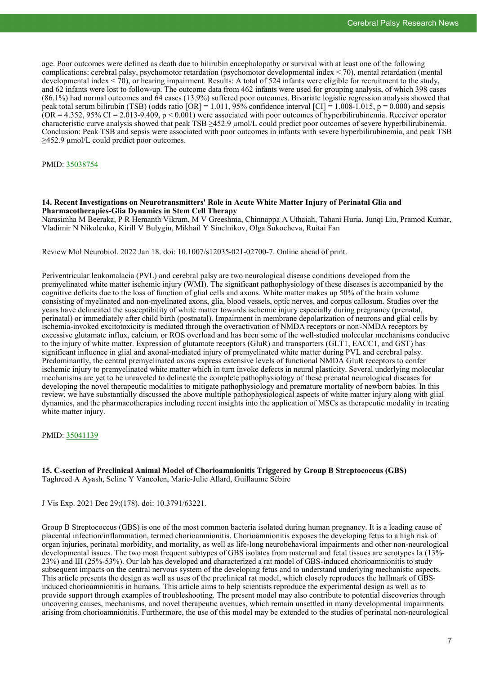age. Poor outcomes were defined as death due to bilirubin encephalopathy or survival with at least one of the following complications: cerebral palsy, psychomotor retardation (psychomotor developmental index < 70), mental retardation (mental developmental index < 70), or hearing impairment. Results: A total of 524 infants were eligible for recruitment to the study, and 62 infants were lost to follow-up. The outcome data from 462 infants were used for grouping analysis, of which 398 cases (86.1%) had normal outcomes and 64 cases (13.9%) suffered poor outcomes. Bivariate logistic regression analysis showed that peak total serum bilirubin (TSB) (odds ratio  $[OR] = 1.011$ , 95% confidence interval  $[CI] = 1.008 - 1.015$ , p = 0.000) and sepsis  $(OR = 4.352, 95\% \text{ CI} = 2.013-9.409, p < 0.001)$  were associated with poor outcomes of hyperbilirubinemia. Receiver operator characteristic curve analysis showed that peak TSB  $\geq$ 452.9  $\mu$ mol/L could predict poor outcomes of severe hyperbilirubinemia. Conclusion: Peak TSB and sepsis were associated with poor outcomes in infants with severe hyperbilirubinemia, and peak TSB ≥452.9 µmol/L could predict poor outcomes.

PMID: [35038754](http://www.ncbi.nlm.nih.gov/pubmed/35038754)

## **14. Recent Investigations on Neurotransmitters' Role in Acute White Matter Injury of Perinatal Glia and Pharmacotherapies-Glia Dynamics in Stem Cell Therapy**

Narasimha M Beeraka, P R Hemanth Vikram, M V Greeshma, Chinnappa A Uthaiah, Tahani Huria, Junqi Liu, Pramod Kumar, Vladimir N Nikolenko, Kirill V Bulygin, Mikhail Y Sinelnikov, Olga Sukocheva, Ruitai Fan

Review Mol Neurobiol. 2022 Jan 18. doi: 10.1007/s12035-021-02700-7. Online ahead of print.

Periventricular leukomalacia (PVL) and cerebral palsy are two neurological disease conditions developed from the premyelinated white matter ischemic injury (WMI). The significant pathophysiology of these diseases is accompanied by the cognitive deficits due to the loss of function of glial cells and axons. White matter makes up 50% of the brain volume consisting of myelinated and non-myelinated axons, glia, blood vessels, optic nerves, and corpus callosum. Studies over the years have delineated the susceptibility of white matter towards ischemic injury especially during pregnancy (prenatal, perinatal) or immediately after child birth (postnatal). Impairment in membrane depolarization of neurons and glial cells by ischemia-invoked excitotoxicity is mediated through the overactivation of NMDA receptors or non-NMDA receptors by excessive glutamate influx, calcium, or ROS overload and has been some of the well-studied molecular mechanisms conducive to the injury of white matter. Expression of glutamate receptors (GluR) and transporters (GLT1, EACC1, and GST) has significant influence in glial and axonal-mediated injury of premyelinated white matter during PVL and cerebral palsy. Predominantly, the central premyelinated axons express extensive levels of functional NMDA GluR receptors to confer ischemic injury to premyelinated white matter which in turn invoke defects in neural plasticity. Several underlying molecular mechanisms are yet to be unraveled to delineate the complete pathophysiology of these prenatal neurological diseases for developing the novel therapeutic modalities to mitigate pathophysiology and premature mortality of newborn babies. In this review, we have substantially discussed the above multiple pathophysiological aspects of white matter injury along with glial dynamics, and the pharmacotherapies including recent insights into the application of MSCs as therapeutic modality in treating white matter injury.

PMID: [35041139](http://www.ncbi.nlm.nih.gov/pubmed/35041139)

**15. C-section of Preclinical Animal Model of Chorioamnionitis Triggered by Group B Streptococcus (GBS)** Taghreed A Ayash, Seline Y Vancolen, Marie-Julie Allard, Guillaume Sébire

J Vis Exp. 2021 Dec 29;(178). doi: 10.3791/63221.

Group B Streptococcus (GBS) is one of the most common bacteria isolated during human pregnancy. It is a leading cause of placental infection/inflammation, termed chorioamnionitis. Chorioamnionitis exposes the developing fetus to a high risk of organ injuries, perinatal morbidity, and mortality, as well as life-long neurobehavioral impairments and other non-neurological developmental issues. The two most frequent subtypes of GBS isolates from maternal and fetal tissues are serotypes Ia (13%- 23%) and III (25%-53%). Our lab has developed and characterized a rat model of GBS-induced chorioamnionitis to study subsequent impacts on the central nervous system of the developing fetus and to understand underlying mechanistic aspects. This article presents the design as well as uses of the preclinical rat model, which closely reproduces the hallmark of GBSinduced chorioamnionitis in humans. This article aims to help scientists reproduce the experimental design as well as to provide support through examples of troubleshooting. The present model may also contribute to potential discoveries through uncovering causes, mechanisms, and novel therapeutic avenues, which remain unsettled in many developmental impairments arising from chorioamnionitis. Furthermore, the use of this model may be extended to the studies of perinatal non-neurological